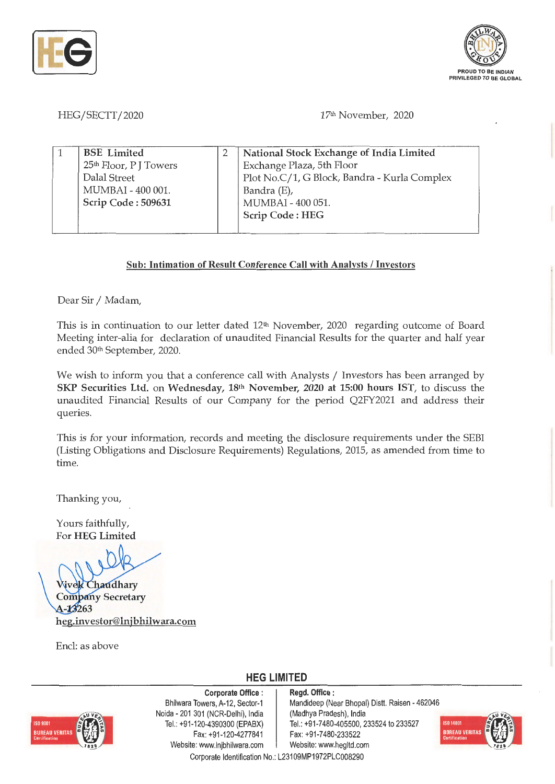



HEG/SECTT/2020

17th November, 2020

| <b>BSE</b> Limited                 | National Stock Exchange of India Limited     |
|------------------------------------|----------------------------------------------|
| 25 <sup>th</sup> Floor, P J Towers | Exchange Plaza, 5th Floor                    |
| Dalal Street                       | Plot No.C/1, G Block, Bandra - Kurla Complex |
| MUMBAI - 400 001.                  | Bandra (E),                                  |
| Scrip Code: 509631                 | MUMBAI - 400 051.                            |
|                                    | Scrip Code: HEG                              |
|                                    |                                              |

## **Sub: Intimation of Result Conference Call with Analysts/ Investors**

Dear Sir / Madam,

This is in continuation to our letter dated 12<sup>th</sup> November, 2020 regarding outcome of Board Meeting inter-alia for declaration of unaudited Financial Results for the quarter and half year ended 30th September, 2020.

We wish to inform you that a conference call with Analysts / Investors has been arranged by **SKP Securities Ltd.** on **Wednesday, 18th November, 2020 at 15:00 hours 1ST,** to discuss the unaudited Financial Results of our Company for the period Q2FY2021 and address their queries.

This is for your information, records and meeting the disclosure requirements under the SEBI (Listing Obligations and Disclosure Requirements) Regulations, 2015, as amended from time to time.

Thanking you,

Yours faithfully, For **HEG Limited** 

**Vivek Chaudhary Company Secretary** A-13263 **heg.investor@lnjbhilwara.com** 

Encl: as above

## **HEG LIMITED**



**Corporate Office** : Bhilwara Towers, A-12, Sector-1 Naida - 201 301 (NCR-Delhi), India Tel.: +91-120-4390300 (EPABX) Fax: +91 -120-4277841 Website: www.lnjbhilwara.com | Website: www.hegltd.com

**Regd. Office** : Mandideep (Near Bhopal) Distt. Raisen - 462046 (Madhya Pradesh), India Tel.: +91 -7480-405500, 233524 to 233527 Fax: +91 -7480-233522



Corporate Identification No.: L23109MP1972PLC008290